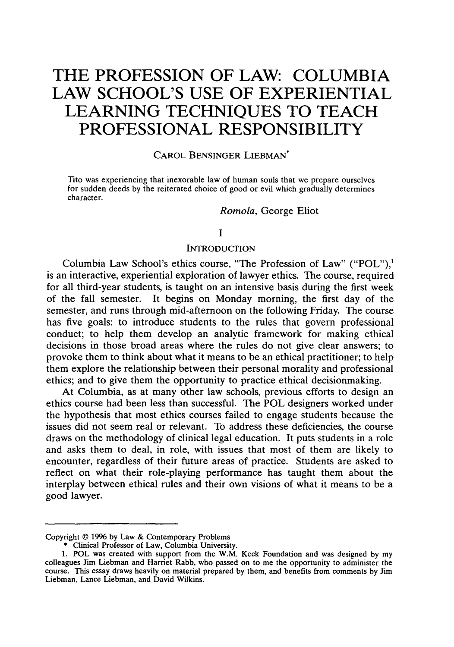# **THE PROFESSION OF LAW: COLUMBIA LAW SCHOOL'S USE OF EXPERIENTIAL LEARNING TECHNIQUES TO TEACH PROFESSIONAL RESPONSIBILITY**

# CAROL BENSINGER LIEBMAN\*

Tito was experiencing that inexorable law of human souls that we prepare ourselves for sudden deeds by the reiterated choice of good or evil which gradually determines character.

# *Romola,* George Eliot

## **I**

#### **INTRODUCTION**

Columbia Law School's ethics course, "The Profession of Law" ("POL"),' is an interactive, experiential exploration of lawyer ethics. The course, required for all third-year students, is taught on an intensive basis during the first week of the fall semester. It begins on Monday morning, the first day of the semester, and runs through mid-afternoon on the following Friday. The course has five goals: to introduce students to the rules that govern professional conduct; to help them develop an analytic framework for making ethical decisions in those broad areas where the rules do not give clear answers; to provoke them to think about what it means to be an ethical practitioner; to help them explore the relationship between their personal morality and professional ethics; and to give them the opportunity to practice ethical decisionmaking.

At Columbia, as at many other law schools, previous efforts to design an ethics course had been less than successful. The POL designers worked under the hypothesis that most ethics courses failed to engage students because the issues did not seem real or relevant. To address these deficiencies, the course draws on the methodology of clinical legal education. It puts students in a role and asks them to deal, in role, with issues that most of them are likely to encounter, regardless of their future areas of practice. Students are asked to reflect on what their role-playing performance has taught them about the interplay between ethical rules and their own visions of what it means to be a good lawyer.

Copyright © 1996 by Law & Contemporary Problems

<sup>\*</sup> Clinical Professor of Law, Columbia University.

<sup>1.</sup> POL was created with support from the W.M. Keck Foundation and was designed by my colleagues Jim Liebman and Harriet Rabb, who passed on to me the opportunity to administer the course. This essay draws heavily on material prepared by them, and benefits from comments by Jim Liebman, Lance Liebman, and David Wilkins.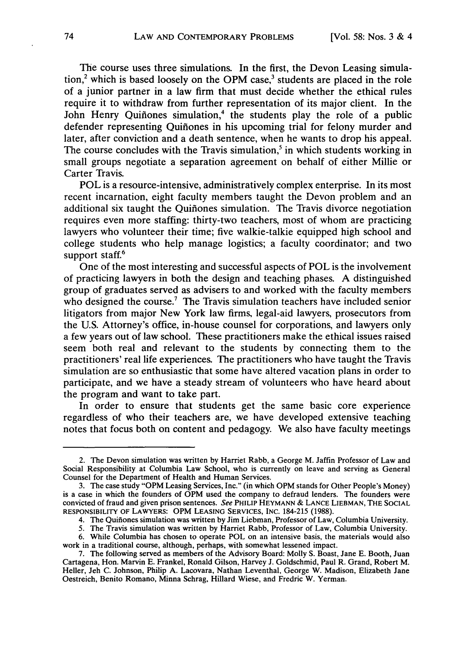The course uses three simulations. In the first, the Devon Leasing simulation,<sup>2</sup> which is based loosely on the OPM case,<sup>3</sup> students are placed in the role of a junior partner in a law firm that must decide whether the ethical rules require it to withdraw from further representation of its major client. In the John Henry Quiñones simulation,<sup>4</sup> the students play the role of a public defender representing Quifiones in his upcoming trial for felony murder and later, after conviction and a death sentence, when he wants to drop his appeal. The course concludes with the Travis simulation,<sup>5</sup> in which students working in small groups negotiate a separation agreement on behalf of either Millie or Carter Travis.

POL is a resource-intensive, administratively complex enterprise. In its most recent incarnation, eight faculty members taught the Devon problem and an additional six taught the Quifiones simulation. The Travis divorce negotiation requires even more staffing: thirty-two teachers, most of whom are practicing lawyers who volunteer their time; five walkie-talkie equipped high school and college students who help manage logistics; a faculty coordinator; and two support staff.<sup>6</sup>

One of the most interesting and successful aspects of POL is the involvement of practicing lawyers in both the design and teaching phases. **A** distinguished group of graduates served as advisers to and worked with the faculty members who designed the course.<sup>7</sup> The Travis simulation teachers have included senior litigators from major New York law firms, legal-aid lawyers, prosecutors from the **U.S.** Attorney's office, in-house counsel for corporations, and lawyers only a few years out of law school. These practitioners make the ethical issues raised seem both real and relevant to the students **by** connecting them to the practitioners' real life experiences. The practitioners who have taught the Travis simulation are so enthusiastic that some have altered vacation plans in order to participate, and we have a steady stream of volunteers who have heard about the program and want to take part.

In order to ensure that students get the same basic core experience regardless of who their teachers are, we have developed extensive teaching notes that focus both on content and pedagogy. We also have faculty meetings

<sup>2.</sup> The Devon simulation was written **by** Harriet Rabb, a George M. Jaffin Professor of Law and Social Responsibility at Columbia Law School, who is currently on leave and serving as General Counsel for the Department of Health and Human Services.

**<sup>3.</sup>** The case study "OPM Leasing Services, Inc." (in which OPM stands for Other People's Money) is a case in which the founders of OPM used the company to defraud lenders. The founders were convicted of fraud and given prison sentences. *See* **PHILIP HEYMANN & LANCE LIEBMAN, THE SOCIAL RESPONSIBILITY OF LAWYERS:** OPM **LEASING SERVICES,** INC. 184-215 **(1988).**

<sup>4.</sup> The Quifiones simulation was written **by** Jim Liebman, Professor of Law, Columbia University.

**<sup>5.</sup>** The Travis simulation was written **by** Harriet Rabb, Professor of Law, Columbia University.

**<sup>6.</sup>** While Columbia has chosen to operate POL on an intensive basis, the materials would also work in a traditional course, although, perhaps, with somewhat lessened impact.

**<sup>7.</sup>** The following served as members of the Advisory Board: Molly **S.** Boast, Jane **E.** Booth, Juan Cartagena, Hon. Marvin **E.** Frankel, Ronald Gilson, Harvey **J.** Goldschmid, Paul R. Grand, Robert M. Heller, Jeh **C.** Johnson, Philip **A.** Lacovara, Nathan Leventhal, George W. Madison, Elizabeth Jane Oestreich, Benito Romano, Minna Schrag, Hillard Wiese, and Fredric W. Yerman.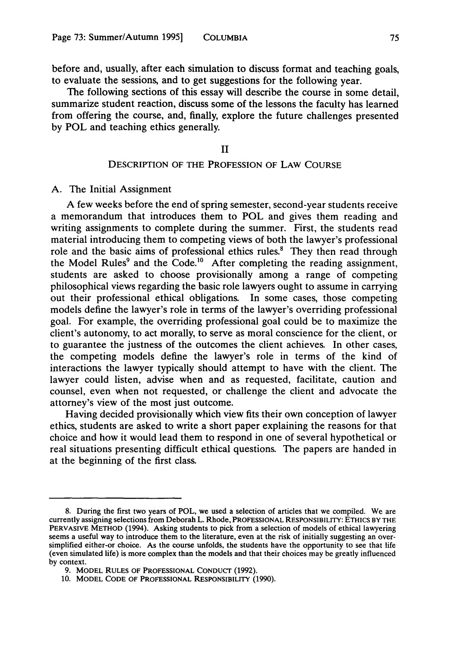before and, usually, after each simulation to discuss format and teaching goals, to evaluate the sessions, and to get suggestions for the following year.

The following sections of this essay will describe the course in some detail, summarize student reaction, discuss some of the lessons the faculty has learned from offering the course, and, finally, explore the future challenges presented by POL and teaching ethics generally.

#### II

# DESCRIPTION OF THE PROFESSION OF LAW COURSE

#### A. The Initial Assignment

A few weeks before the end of spring semester, second-year students receive a memorandum that introduces them to POL and gives them reading and writing assignments to complete during the summer. First, the students read material introducing them to competing views of both the lawyer's professional role and the basic aims of professional ethics rules.<sup>8</sup> They then read through the Model Rules<sup>9</sup> and the Code.<sup>10</sup> After completing the reading assignment students are asked to choose provisionally among a range of competing philosophical views regarding the basic role lawyers ought to assume in carrying out their professional ethical obligations. In some cases, those competing models define the lawyer's role in terms of the lawyer's overriding professional goal. For example, the overriding professional goal could be to maximize the client's autonomy, to act morally, to serve as moral conscience for the client, or to guarantee the justness of the outcomes the client achieves. In other cases, the competing models define the lawyer's role in terms of the kind of interactions the lawyer typically should attempt to have with the client. The lawyer could listen, advise when and as requested, facilitate, caution and counsel, even when not requested, or challenge the client and advocate the attorney's view of the most just outcome.

Having decided provisionally which view fits their own conception of lawyer ethics, students are asked to write a short paper explaining the reasons for that choice and how it would lead them to respond in one of several hypothetical or real situations presenting difficult ethical questions. The papers are handed in at the beginning of the first class.

<sup>8.</sup> During the first two years of POL, we used a selection of articles that we compiled. We are currently assigning selections from Deborah L. Rhode, **PROFESSIONAL** RESPONSIBILITY: **ETHICS** BY THE PERVASIVE METHOD (1994). Asking students to pick from a selection of models of ethical lawyering seems a useful way to introduce them to the literature, even at the risk of initially suggesting an oversimplified either-or choice. As the course unfolds, the students have the opportunity to see that life (even simulated life) is more complex than the models and that their choices may be greatly influenced by context.

<sup>9.</sup> MODEL **RULES** OF PROFESSIONAL **CONDUCT** (1992).

**<sup>10.</sup> MODEL CODE OF PROFESSIONAL** RESPONSIBILITY (1990).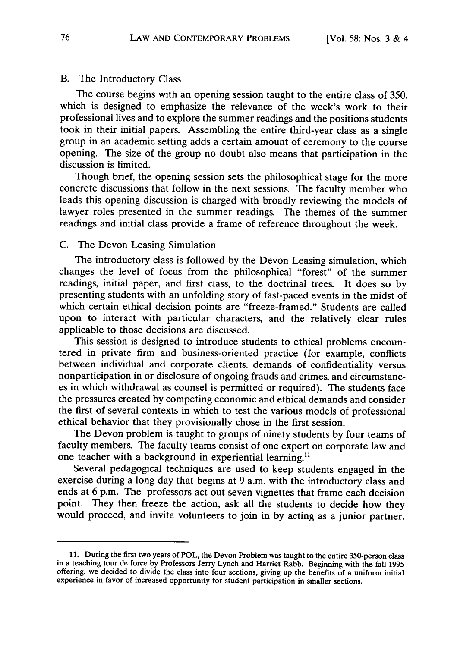## B. The Introductory Class

The course begins with an opening session taught to the entire class of 350, which is designed to emphasize the relevance of the week's work to their professional lives and to explore the summer readings and the positions students took in their initial papers. Assembling the entire third-year class as a single group in an academic setting adds a certain amount of ceremony to the course opening. The size of the group no doubt also means that participation in the discussion is limited.

Though brief, the opening session sets the philosophical stage for the more concrete discussions that follow in the next sessions. The faculty member who leads this opening discussion is charged with broadly reviewing the models of lawyer roles presented in the summer readings. The themes of the summer readings and initial class provide a frame of reference throughout the week.

## C. The Devon Leasing Simulation

The introductory class is followed by the Devon Leasing simulation, which changes the level of focus from the philosophical "forest" of the summer readings, initial paper, and first class, to the doctrinal trees. It does so by presenting students with an unfolding story of fast-paced events in the midst of which certain ethical decision points are "freeze-framed." Students are called upon to interact with particular characters, and the relatively clear rules applicable to those decisions are discussed.

This session is designed to introduce students to ethical problems encountered in private firm and business-oriented practice (for example, conflicts between individual and corporate clients, demands of confidentiality versus nonparticipation in or disclosure of ongoing frauds and crimes, and circumstances in which withdrawal as counsel is permitted or required). The students face the pressures created by competing economic and ethical demands and consider the first of several contexts in which to test the various models of professional ethical behavior that they provisionally chose in the first session.

The Devon problem is taught to groups of ninety students by four teams of faculty members. The faculty teams consist of one expert on corporate law and one teacher with a background in experiential learning.<sup>11</sup>

Several pedagogical techniques are used to keep students engaged in the exercise during a long day that begins at 9 a.m. with the introductory class and ends at 6 p.m. The professors act out seven vignettes that frame each decision point. They then freeze the action, ask all the students to decide how they would proceed, and invite volunteers to join in by acting as a junior partner.

<sup>11.</sup> During the first two years of POL, the Devon Problem was taught to the entire 350-person class in a teaching tour de force by Professors Jerry Lynch and Harriet Rabb. Beginning with the fall 1995 offering, we decided to divide the class into four sections, giving up the benefits of a uniform initial experience in favor of increased opportunity for student participation in smaller sections.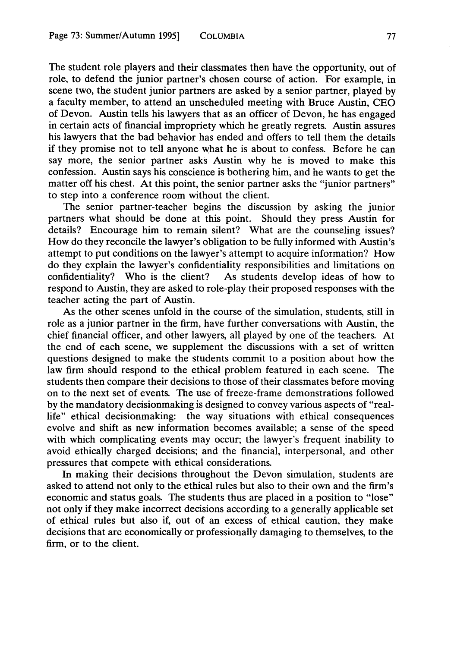The student role players and their classmates then have the opportunity, out of role, to defend the junior partner's chosen course of action. For example, in scene two, the student junior partners are asked by a senior partner, played by a faculty member, to attend an unscheduled meeting with Bruce Austin, CEO of Devon. Austin tells his lawyers that as an officer of Devon, he has engaged in certain acts of financial impropriety which he greatly regrets. Austin assures his lawyers that the bad behavior has ended and offers to tell them the details if they promise not to tell anyone what he is about to confess. Before he can say more, the senior partner asks Austin why he is moved to make this confession. Austin says his conscience is bothering him, and he wants to get the matter off his chest. At this point, the senior partner asks the "junior partners" to step into a conference room without the client.

The senior partner-teacher begins the discussion by asking the junior partners what should be done at this point. Should they press Austin for details? Encourage him to remain silent? What are the counseling issues? How do they reconcile the lawyer's obligation to be fully informed with Austin's attempt to put conditions on the lawyer's attempt to acquire information? How do they explain the lawyer's confidentiality responsibilities and limitations on confidentiality? Who is the client? As students develop ideas of how to As students develop ideas of how to respond to Austin, they are asked to role-play their proposed responses with the teacher acting the part of Austin.

As the other scenes unfold in the course of the simulation, students, still in role as a junior partner in the firm, have further conversations with Austin, the chief financial officer, and other lawyers, all played by one of the teachers. At the end of each scene, we supplement the discussions with a set of written questions designed to make the students commit to a position about how the law firm should respond to the ethical problem featured in each scene. The students then compare their decisions to those of their classmates before moving on to the next set of events. The use of freeze-frame demonstrations followed by the mandatory decisionmaking is designed to convey various aspects of "reallife" ethical decisionmaking: the way situations with ethical consequences evolve and shift as new information becomes available; a sense of the speed with which complicating events may occur; the lawyer's frequent inability to avoid ethically charged decisions; and the financial, interpersonal, and other pressures that compete with ethical considerations.

In making their decisions throughout the Devon simulation, students are asked to attend not only to the ethical rules but also to their own and the firm's economic and status goals. The students thus are placed in a position to "lose" not only if they make incorrect decisions according to a generally applicable set of ethical rules but also if, out of an excess of ethical caution, they make decisions that are economically or professionally damaging to themselves, to the firm, or to the client.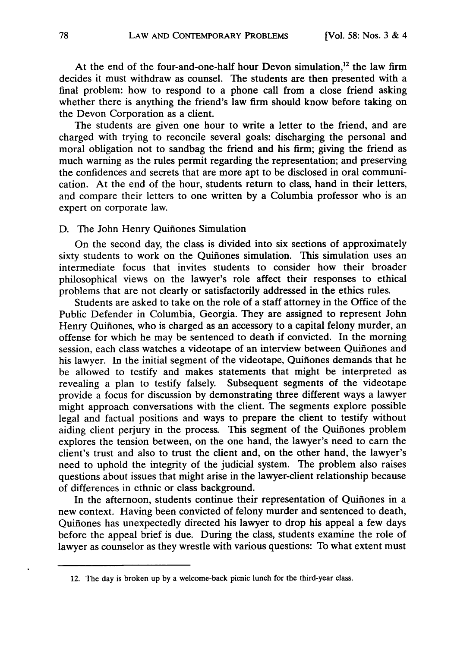At the end of the four-and-one-half hour Devon simulation, $12$  the law firm decides it must withdraw as counsel. The students are then presented with a final problem: how to respond to a phone call from a close friend asking whether there is anything the friend's law firm should know before taking on the Devon Corporation as a client.

The students are given one hour to write a letter to the friend, and are charged with trying to reconcile several goals: discharging the personal and moral obligation not to sandbag the friend and his firm; giving the friend as much warning as the rules permit regarding the representation; and preserving the confidences and secrets that are more apt to be disclosed in oral communication. At the end of the hour, students return to class, hand in their letters, and compare their letters to one written by a Columbia professor who is an expert on corporate law.

D. The John Henry Quifiones Simulation

On the second day, the class is divided into six sections of approximately sixty students to work on the Quifiones simulation. This simulation uses an intermediate focus that invites students to consider how their broader philosophical views on the lawyer's role affect their responses to ethical problems that are not clearly or satisfactorily addressed in the ethics rules.

Students are asked to take on the role of a staff attorney in the Office of the Public Defender in Columbia, Georgia. They are assigned to represent John Henry Quiñones, who is charged as an accessory to a capital felony murder, an offense for which he may be sentenced to death if convicted. In the morning session, each class watches a videotape of an interview between Quifiones and his lawyer. In the initial segment of the videotape, Quifiones demands that he be allowed to testify and makes statements that might be interpreted as revealing a plan to testify falsely. Subsequent segments of the videotape provide a focus for discussion by demonstrating three different ways a lawyer might approach conversations with the client. The segments explore possible legal and factual positions and ways to prepare the client to testify without aiding client perjury in the process. This segment of the Quifiones problem explores the tension between, on the one hand, the lawyer's need to earn the client's trust and also to trust the client and, on the other hand, the lawyer's need to uphold the integrity of the judicial system. The problem also raises questions about issues that might arise in the lawyer-client relationship because of differences in ethnic or class background.

In the afternoon, students continue their representation of Quifiones in a new context. Having been convicted of felony murder and sentenced to death, Quifiones has unexpectedly directed his lawyer to drop his appeal a few days before the appeal brief is due. During the class, students examine the role of lawyer as counselor as they wrestle with various questions: To what extent must

<sup>12.</sup> The day is broken up by a welcome-back picnic lunch for the third-year class.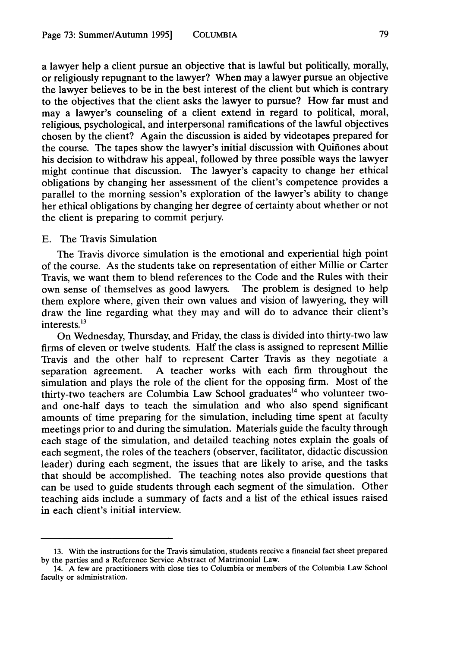a lawyer help a client pursue an objective that is lawful but politically, morally, or religiously repugnant to the lawyer? When may a lawyer pursue an objective the lawyer believes to be in the best interest of the client but which is contrary to the objectives that the client asks the lawyer to pursue? How far must and may a lawyer's counseling of a client extend in regard to political, moral, religious, psychological, and interpersonal ramifications of the lawful objectives chosen by the client? Again the discussion is aided by videotapes prepared for the course. The tapes show the lawyer's initial discussion with Quifiones about his decision to withdraw his appeal, followed by three possible ways the lawyer might continue that discussion. The lawyer's capacity to change her ethical obligations by changing her assessment of the client's competence provides a parallel to the morning session's exploration of the lawyer's ability to change her ethical obligations by changing her degree of certainty about whether or not the client is preparing to commit perjury.

# E. The Travis Simulation

The Travis divorce simulation is the emotional and experiential high point of the course. As the students take on representation of either Millie or Carter Travis, we want them to blend references to the Code and the Rules with their own sense of themselves as good lawyers. The problem is designed to help own sense of themselves as good lawyers. them explore where, given their own values and vision of lawyering, they will draw the line regarding what they may and will do to advance their client's interests. $^{13}$ 

On Wednesday, Thursday, and Friday, the class is divided into thirty-two law firms of eleven or twelve students. Half the class is assigned to represent Millie Travis and the other half to represent Carter Travis as they negotiate a separation agreement. A teacher works with each firm throughout the A teacher works with each firm throughout the simulation and plays the role of the client for the opposing firm. Most of the thirty-two teachers are Columbia Law School graduates<sup>14</sup> who volunteer twoand one-half days to teach the simulation and who also spend significant amounts of time preparing for the simulation, including time spent at faculty meetings prior to and during the simulation. Materials guide the faculty through each stage of the simulation, and detailed teaching notes explain the goals of each segment, the roles of the teachers (observer, facilitator, didactic discussion leader) during each segment, the issues that are likely to arise, and the tasks that should be accomplished. The teaching notes also provide questions that can be used to guide students through each segment of the simulation. Other teaching aids include a summary of facts and a list of the ethical issues raised in each client's initial interview.

<sup>13.</sup> With the instructions for the Travis simulation, students receive a financial fact sheet prepared by the parties and a Reference Service Abstract of Matrimonial Law.

<sup>14.</sup> A few are practitioners with close ties to Columbia or members of the Columbia Law School faculty or administration.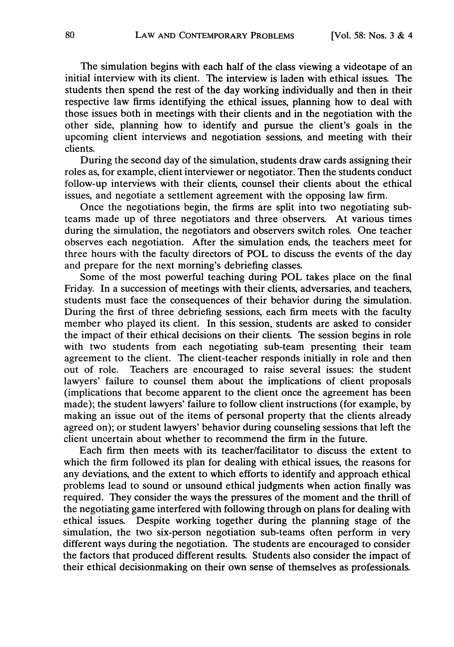The simulation begins with each half of the class viewing a videotape of an initial interview with its client. The interview is laden with ethical issues. The students then spend the rest of the day working individually and then in their respective law firms identifying the ethical issues, planning how to deal with those issues both in meetings with their clients and in the negotiation with the other side, planning how to identify and pursue the client's goals in the upcoming client interviews and negotiation sessions, and meeting with their clients.

During the second day of the simulation, students draw cards assigning their roles as, for example, client interviewer or negotiator. Then the students conduct follow-up interviews with their clients, counsel their clients about the ethical issues, and negotiate a settlement agreement with the opposing law firm.

Once the negotiations begin, the firms are split into two negotiating subteams made up of three negotiators and three observers. At various times during the simulation, the negotiators and observers switch roles. One teacher observes each negotiation. After the simulation ends, the teachers meet for three hours with the faculty directors of POL to discuss the events of the day and prepare for the next morning's debriefing classes.

Some of the most powerful teaching during POL takes place on the final Friday. In a succession of meetings with their clients, adversaries, and teachers, students must face the consequences of their behavior during the simulation. During the first of three debriefing sessions, each firm meets with the faculty member who played its client. In this session, students are asked to consider the impact of their ethical decisions on their clients. The session begins in role with two students from each negotiating sub-team presenting their team agreement to the client. The client-teacher responds initially in role and then out of role. Teachers are encouraged to raise several issues: the student lawyers' failure to counsel them about the implications of client proposals (implications that become apparent to the client once the agreement has been made); the student lawyers' failure to follow client instructions (for example, by making an issue out of the items of personal property that the clients already agreed on); or student lawyers' behavior during counseling sessions that left the client uncertain about whether to recommend the firm in the future.

Each firm then meets with its teacher/facilitator to discuss the extent to which the firm followed its plan for dealing with ethical issues, the reasons for any deviations, and the extent to which efforts to identify and approach ethical problems lead to sound or unsound ethical judgments when action finally was required. They consider the ways the pressures of the moment and the thrill of the negotiating game interfered with following through on plans for dealing with ethical issues. Despite working together during the planning stage of the simulation, the two six-person negotiation sub-teams often perform in very different ways during the negotiation. The students are encouraged to consider the factors that produced different results. Students also consider the impact of their ethical decisionmaking on their own sense of themselves as professionals.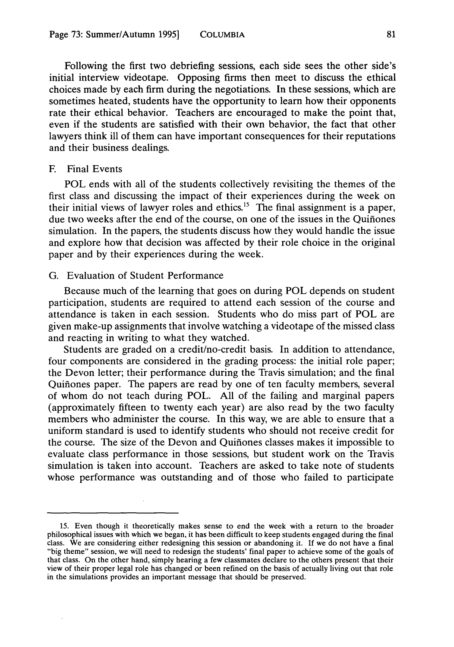Following the first two debriefing sessions, each side sees the other side's initial interview videotape. Opposing firms then meet to discuss the ethical choices made by each firm during the negotiations. In these sessions, which are sometimes heated, students have the opportunity to learn how their opponents rate their ethical behavior. Teachers are encouraged to make the point that, even if the students are satisfied with their own behavior, the fact that other lawyers think ill of them can have important consequences for their reputations and their business dealings.

# F. Final Events

POL ends with all of the students collectively revisiting the themes of the first class and discussing the impact of their experiences during the week on their initial views of lawyer roles and ethics.<sup>15</sup> The final assignment is a paper, due two weeks after the end of the course, on one of the issues in the Quifiones simulation. In the papers, the students discuss how they would handle the issue and explore how that decision was affected by their role choice in the original paper and by their experiences during the week.

# G. Evaluation of Student Performance

Because much of the learning that goes on during POL depends on student participation, students are required to attend each session of the course and attendance is taken in each session. Students who do miss part of POL are given make-up assignments that involve watching a videotape of the missed class and reacting in writing to what they watched.

Students are graded on a credit/no-credit basis. In addition to attendance, four components are considered in the grading process: the initial role paper; the Devon letter; their performance during the Travis simulation; and the final Quifiones paper. The papers are read by one of ten faculty members, several of whom do not teach during POL. All of the failing and marginal papers (approximately fifteen to twenty each year) are also read by the two faculty members who administer the course. In this way, we are able to ensure that a uniform standard is used to identify students who should not receive credit for the course. The size of the Devon and Quifiones classes makes it impossible to evaluate class performance in those sessions, but student work on the Travis simulation is taken into account. Teachers are asked to take note of students whose performance was outstanding and of those who failed to participate

<sup>15.</sup> Even though it theoretically makes sense to end the week with a return to the broader philosophical issues with which we began, it has been difficult to keep students engaged during the final class. We are considering either redesigning this session or abandoning it. If we do not have a final "big theme" session, we will need to redesign the students' final paper to achieve some of the goals of that class. On the other hand, simply hearing a few classmates declare to the others present that their view of their proper legal role has changed or been refined on the basis of actually living out that role in the simulations provides an important message that should be preserved.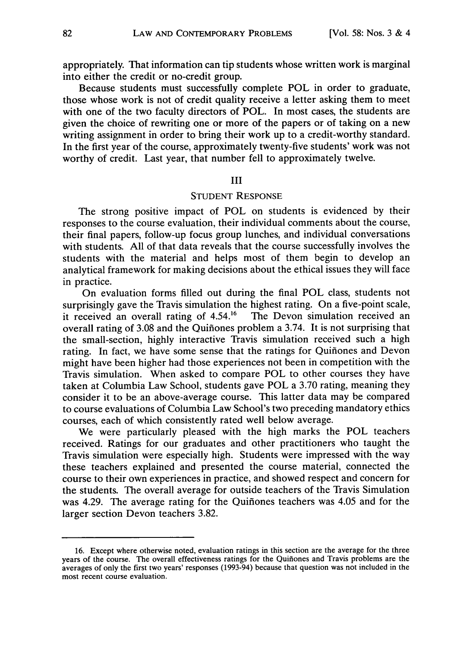appropriately. That information can tip students whose written work is marginal into either the credit or no-credit group.

Because students must successfully complete POL in order to graduate, those whose work is not of credit quality receive a letter asking them to meet with one of the two faculty directors of POL. In most cases, the students are given the choice of rewriting one or more of the papers or of taking on a new writing assignment in order to bring their work up to a credit-worthy standard. In the first year of the course, approximately twenty-five students' work was not worthy of credit. Last year, that number fell to approximately twelve.

#### III

# STUDENT RESPONSE

The strong positive impact of POL on students is evidenced by their responses to the course evaluation, their individual comments about the course, their final papers, follow-up focus group lunches, and individual conversations with students. All of that data reveals that the course successfully involves the students with the material and helps most of them begin to develop an analytical framework for making decisions about the ethical issues they will face in practice.

On evaluation forms filled out during the final POL class, students not surprisingly gave the Travis simulation the highest rating. On a five-point scale, it received an overall rating of 4.54.16 The Devon simulation received an overall rating of 3.08 and the Quifiones problem a 3.74. It is not surprising that the small-section, highly interactive Travis simulation received such a high rating. In fact, we have some sense that the ratings for Quifiones and Devon might have been higher had those experiences not been in competition with the Travis simulation. When asked to compare POL to other courses they have taken at Columbia Law School, students gave POL a 3.70 rating, meaning they consider it to be an above-average course. This latter data may be compared to course evaluations of Columbia Law School's two preceding mandatory ethics courses, each of which consistently rated well below average.

We were particularly pleased with the high marks the POL teachers received. Ratings for our graduates and other practitioners who taught the Travis simulation were especially high. Students were impressed with the way these teachers explained and presented the course material, connected the course to their own experiences in practice, and showed respect and concern for the students. The overall average for outside teachers of the Travis Simulation was 4.29. The average rating for the Quifiones teachers was 4.05 and for the larger section Devon teachers 3.82.

**<sup>16.</sup>** Except where otherwise noted, evaluation ratings in this section are the average for the three years of the course. The overall effectiveness ratings for the Quifiones and Travis problems are the averages of only the first two years' responses (1993-94) because that question was not included in the most recent course evaluation.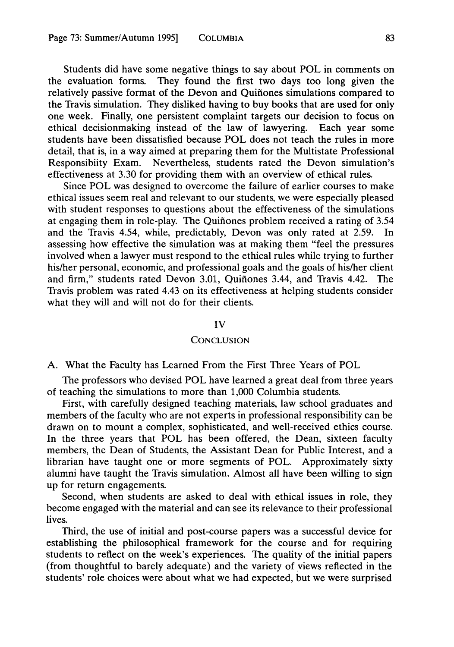Students did have some negative things to say about POL in comments on the evaluation forms. They found the first two days too long given the They found the first two days too long given the relatively passive format of the Devon and Quifiones simulations compared to the Travis simulation. They disliked having to buy books that are used for only one week. Finally, one persistent complaint targets our decision to focus on ethical decisionmaking instead of the law of lawyering. Each year some students have been dissatisfied because POL does not teach the rules in more detail, that is, in a way aimed at preparing them for the Multistate Professional Responsibiity Exam. Nevertheless, students rated the Devon simulation's effectiveness at 3.30 for providing them with an overview of ethical rules.

Since POL was designed to overcome the failure of earlier courses to make ethical issues seem real and relevant to our students, we were especially pleased with student responses to questions about the effectiveness of the simulations at engaging them in role-play. The Quifiones problem received a rating of 3.54 and the Travis 4.54, while, predictably, Devon was only rated at 2.59. In assessing how effective the simulation was at making them "feel the pressures involved when a lawyer must respond to the ethical rules while trying to further his/her personal, economic, and professional goals and the goals of his/her client and firm," students rated Devon 3.01, Quifiones 3.44, and Travis 4.42. The Travis problem was rated 4.43 on its effectiveness at helping students consider what they will and will not do for their clients.

#### IV

#### **CONCLUSION**

A. What the Faculty has Learned From the First Three Years of POL

The professors who devised POL have learned a great deal from three years of teaching the simulations to more than 1,000 Columbia students.

First, with carefully designed teaching materials, law school graduates and members of the faculty who are not experts in professional responsibility can be drawn on to mount a complex, sophisticated, and well-received ethics course. In the three years that POL has been offered, the Dean, sixteen faculty members, the Dean of Students, the Assistant Dean for Public Interest, and a librarian have taught one or more segments of POL. Approximately sixty alumni have taught the Travis simulation. Almost all have been willing to sign up for return engagements.

Second, when students are asked to deal with ethical issues in role, they become engaged with the material and can see its relevance to their professional lives.

Third, the use of initial and post-course papers was a successful device for establishing the philosophical framework for the course and for requiring students to reflect on the week's experiences. The quality of the initial papers (from thoughtful to barely adequate) and the variety of views reflected in the students' role choices were about what we had expected, but we were surprised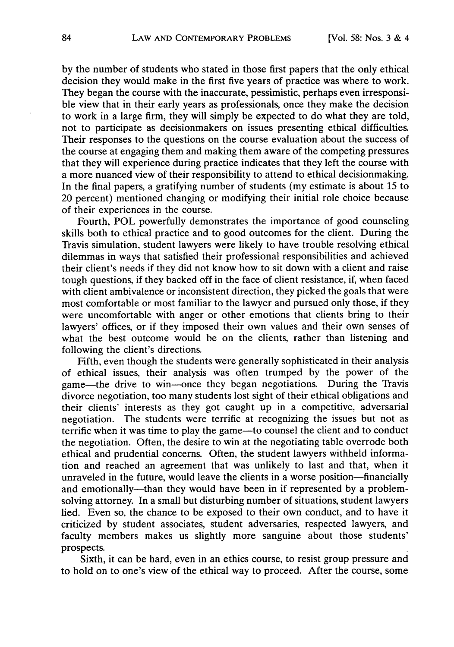by the number of students who stated in those first papers that the only ethical decision they would make in the first five years of practice was where to work. They began the course with the inaccurate, pessimistic, perhaps even irresponsible view that in their early years as professionals, once they make the decision to work in a large firm, they will simply be expected to do what they are told, not to participate as decisionmakers on issues presenting ethical difficulties. Their responses to the questions on the course evaluation about the success of the course at engaging them and making them aware of the competing pressures that they will experience during practice indicates that they left the course with a more nuanced view of their responsibility to attend to ethical decisionmaking. In the final papers, a gratifying number of students (my estimate is about 15 to 20 percent) mentioned changing or modifying their initial role choice because of their experiences in the course.

Fourth, POL powerfully demonstrates the importance of good counseling skills both to ethical practice and to good outcomes for the client. During the Travis simulation, student lawyers were likely to have trouble resolving ethical dilemmas in ways that satisfied their professional responsibilities and achieved their client's needs if they did not know how to sit down with a client and raise tough questions, if they backed off in the face of client resistance, if, when faced with client ambivalence or inconsistent direction, they picked the goals that were most comfortable or most familiar to the lawyer and pursued only those, if they were uncomfortable with anger or other emotions that clients bring to their lawyers' offices, or if they imposed their own values and their own senses of what the best outcome would be on the clients, rather than listening and following the client's directions.

Fifth, even though the students were generally sophisticated in their analysis of ethical issues, their analysis was often trumped by the power of the game-the drive to win-once they began negotiations. During the Travis divorce negotiation, too many students lost sight of their ethical obligations and their clients' interests as they got caught up in a competitive, adversarial negotiation. The students were terrific at recognizing the issues but not as terrific when it was time to play the game-to counsel the client and to conduct the negotiation. Often, the desire to win at the negotiating table overrode both ethical and prudential concerns. Often, the student lawyers withheld information and reached an agreement that was unlikely to last and that, when it unraveled in the future, would leave the clients in a worse position-financially and emotionally-than they would have been in if represented by a problemsolving attorney. In a small but disturbing number of situations, student lawyers lied. Even so, the chance to be exposed to their own conduct, and to have it criticized by student associates, student adversaries, respected lawyers, and faculty members makes us slightly more sanguine about those students' prospects.

Sixth, it can be hard, even in an ethics course, to resist group pressure and to hold on to one's view of the ethical way to proceed. After the course, some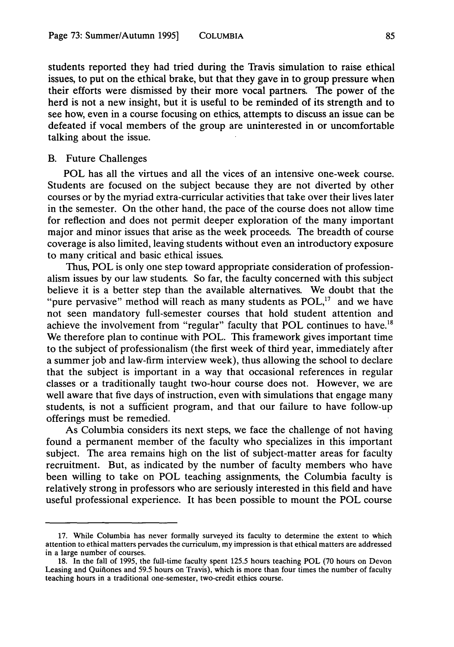students reported they had tried during the Travis simulation to raise ethical issues, to put on the ethical brake, but that they gave in to group pressure when their efforts were dismissed by their more vocal partners. The power of the herd is not a new insight, but it is useful to be reminded of its strength and to see how, even in a course focusing on ethics, attempts to discuss an issue can be defeated if vocal members of the group are uninterested in or uncomfortable talking about the issue.

## B. Future Challenges

POL has all the virtues and all the vices of an intensive one-week course. Students are focused on the subject because they are not diverted by other courses or by the myriad extra-curricular activities that take over their lives later in the semester. On the other hand, the pace of the course does not allow time for reflection and does not permit deeper exploration of the many important major and minor issues that arise as the week proceeds. The breadth of course coverage is also limited, leaving students without even an introductory exposure to many critical and basic ethical issues.

Thus, POL is only one step toward appropriate consideration of professionalism issues by our law students. So far, the faculty concerned with this subject believe it is a better step than the available alternatives. We doubt that the "pure pervasive" method will reach as many students as  $POL<sup>17</sup>$  and we have not seen mandatory full-semester courses that hold student attention and achieve the involvement from "regular" faculty that POL continues to have.<sup>18</sup> We therefore plan to continue with POL. This framework gives important time to the subject of professionalism (the first week of third year, immediately after a summer job and law-firm interview week), thus allowing the school to declare that the subject is important in a way that occasional references in regular classes or a traditionally taught two-hour course does not. However, we are well aware that five days of instruction, even with simulations that engage many students, is not a sufficient program, and that our failure to have follow-up offerings must be remedied.

As Columbia considers its next steps, we face the challenge of not having found a permanent member of the faculty who specializes in this important subject. The area remains high on the list of subject-matter areas for faculty recruitment. But, as indicated by the number of faculty members who have been willing to take on POL teaching assignments, the Columbia faculty is relatively strong in professors who are seriously interested in this field and have useful professional experience. It has been possible to mount the POL course

**<sup>17.</sup>** While Columbia has never formally surveyed its faculty to determine the extent to which attention to ethical matters pervades the curriculum, my impression is that ethical matters are addressed in a large number of courses.

<sup>18.</sup> In the fall of 1995, the full-time faculty spent 125.5 hours teaching POL (70 hours on Devon Leasing and Quifiones and 59.5 hours on Travis), which is more than four times the number of faculty teaching hours in a traditional one-semester, two-credit ethics course.